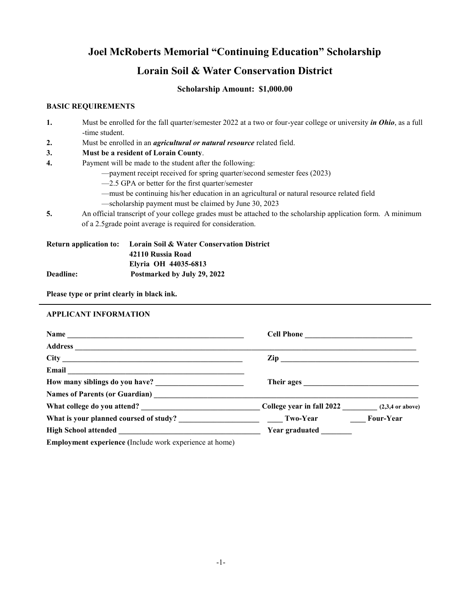# **Joel McRoberts Memorial "Continuing Education" Scholarship Lorain Soil & Water Conservation District**

## **Scholarship Amount: \$1,000.00**

### **BASIC REQUIREMENTS**

| 1. | Must be enrolled for the fall quarter/semester 2022 at a two or four-year college or university <i>in Ohio</i> , as a full<br>-time student. |
|----|----------------------------------------------------------------------------------------------------------------------------------------------|
| 2. | Must be enrolled in an <i>agricultural or natural resource</i> related field.                                                                |
| 3. | Must be a resident of Lorain County.                                                                                                         |
| 4. | Payment will be made to the student after the following:                                                                                     |
|    | - payment receipt received for spring quarter/second semester fees (2023)                                                                    |
|    | $-2.5$ GPA or better for the first quarter/semester                                                                                          |
|    | -must be continuing his/her education in an agricultural or natural resource related field                                                   |
|    | -scholarship payment must be claimed by June 30, 2023                                                                                        |
| 5. | An official transcript of your college grades must be attached to the scholarship application form. A minimum                                |
|    | of a 2.5 grade point average is required for consideration.                                                                                  |
|    |                                                                                                                                              |

| <b>Return application to:</b> | <b>Lorain Soil &amp; Water Conservation District</b> |  |
|-------------------------------|------------------------------------------------------|--|
|                               | 42110 Russia Road                                    |  |
|                               | Elyria OH 44035-6813                                 |  |
| <b>Deadline:</b>              | Postmarked by July 29, 2022                          |  |

**Please type or print clearly in black ink.**

#### **APPLICANT INFORMATION**

| Email <u>__________________________________</u>                                                                                                                                                                                                                                                                                                                                       |                                                      |  |  |
|---------------------------------------------------------------------------------------------------------------------------------------------------------------------------------------------------------------------------------------------------------------------------------------------------------------------------------------------------------------------------------------|------------------------------------------------------|--|--|
|                                                                                                                                                                                                                                                                                                                                                                                       | Their ages                                           |  |  |
|                                                                                                                                                                                                                                                                                                                                                                                       |                                                      |  |  |
|                                                                                                                                                                                                                                                                                                                                                                                       | $\text{Collect year in fall } 2022$ (2,3,4 or above) |  |  |
|                                                                                                                                                                                                                                                                                                                                                                                       |                                                      |  |  |
|                                                                                                                                                                                                                                                                                                                                                                                       | <b>Year graduated</b>                                |  |  |
| $\mathbf{F}_{\text{total}}$ becomes the second second $(\mathbf{L}_1, \mathbf{L}_2, \mathbf{L}_3, \mathbf{L}_4, \mathbf{L}_5, \mathbf{L}_5, \mathbf{L}_6, \mathbf{L}_7, \mathbf{L}_8, \mathbf{L}_8, \mathbf{L}_8, \mathbf{L}_9, \mathbf{L}_9, \mathbf{L}_8, \mathbf{L}_9, \mathbf{L}_9, \mathbf{L}_8, \mathbf{L}_8, \mathbf{L}_9, \mathbf{L}_8, \mathbf{L}_9, \mathbf{L}_8, \mathbf{$ |                                                      |  |  |

**Employment experience (**Include work experience at home)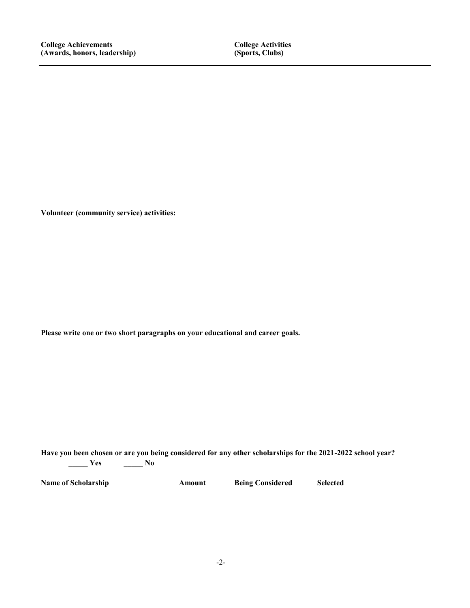| <b>College Achievements</b><br>(Awards, honors, leadership) | <b>College Activities</b><br>(Sports, Clubs) |
|-------------------------------------------------------------|----------------------------------------------|
|                                                             |                                              |
|                                                             |                                              |
|                                                             |                                              |
|                                                             |                                              |
|                                                             |                                              |
| Volunteer (community service) activities:                   |                                              |

**Please write one or two short paragraphs on your educational and career goals.**

**Have you been chosen or are you being considered for any other scholarships for the 2021-2022 school year? \_\_\_\_\_ Yes \_\_\_\_\_ No**

**Name of Scholarship <b>Amount Being Considered Selected**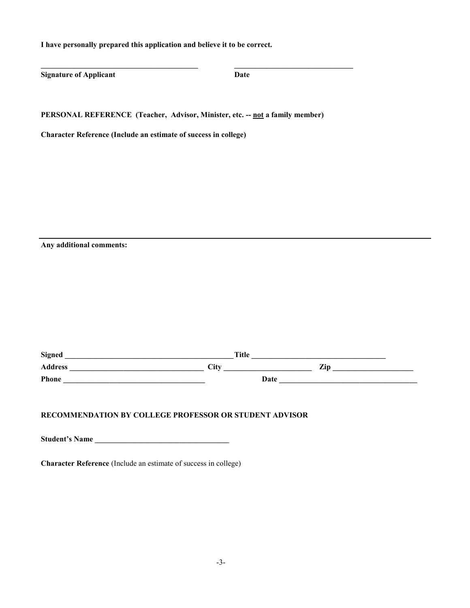**I have personally prepared this application and believe it to be correct.**

**Signature of Applicant Date** 

**PERSONAL REFERENCE (Teacher, Advisor, Minister, etc. -- not a family member)**

**Character Reference (Include an estimate of success in college)**

**Any additional comments:**

| <b>Signed</b>  | <b>Title</b> |     |
|----------------|--------------|-----|
| <b>Address</b> | <b>City</b>  | Zip |
| Phone          | Date         |     |

### **RECOMMENDATION BY COLLEGE PROFESSOR OR STUDENT ADVISOR**

**Student's Name \_\_\_\_\_\_\_\_\_\_\_\_\_\_\_\_\_\_\_\_\_\_\_\_\_\_\_\_\_\_\_\_\_\_\_** 

**Character Reference** (Include an estimate of success in college)